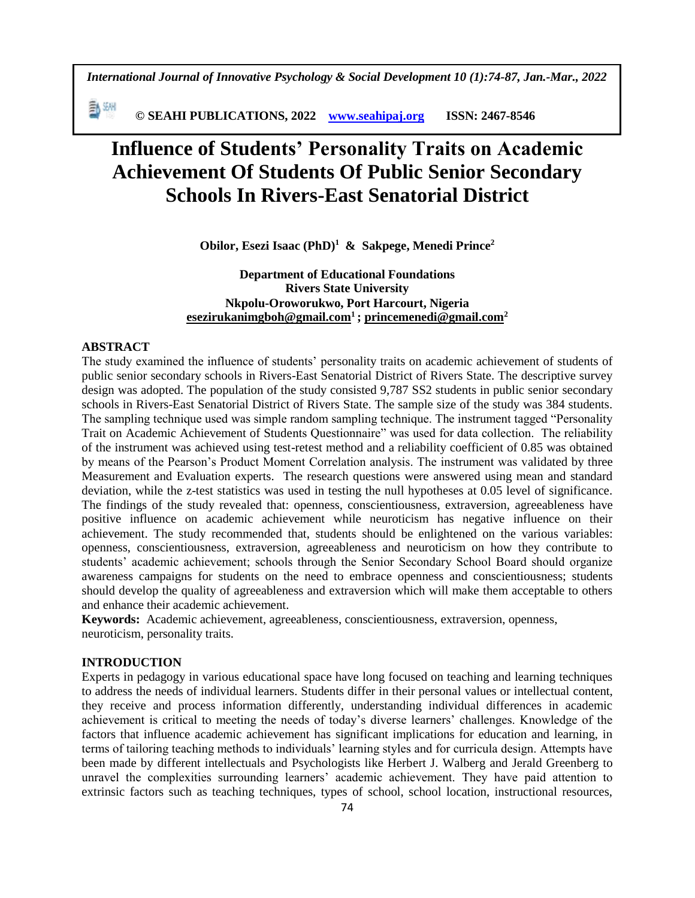*International Journal of Innovative Psychology & Social Development 10 (1):74-87, Jan.-Mar., 2022*

動洲  **© SEAHI PUBLICATIONS, 2022 [www.seahipaj.org](http://www.seahipaj.org/) ISSN: 2467-8546**

# **Influence of Students' Personality Traits on Academic Achievement Of Students Of Public Senior Secondary Schools In Rivers-East Senatorial District**

**Obilor, Esezi Isaac (PhD)<sup>1</sup> & Sakpege, Menedi Prince<sup>2</sup>**

**Department of Educational Foundations Rivers State University Nkpolu-Oroworukwo, Port Harcourt, Nigeria [esezirukanimgboh@gmail.com](mailto:esezirukanimgboh@gmail.com1)<sup>1</sup> ; [princemenedi@gmail.com](mailto:princemenedi@gmail.com)<sup>2</sup>**

## **ABSTRACT**

The study examined the influence of students' personality traits on academic achievement of students of public senior secondary schools in Rivers-East Senatorial District of Rivers State. The descriptive survey design was adopted. The population of the study consisted 9,787 SS2 students in public senior secondary schools in Rivers-East Senatorial District of Rivers State. The sample size of the study was 384 students. The sampling technique used was simple random sampling technique. The instrument tagged "Personality Trait on Academic Achievement of Students Questionnaire" was used for data collection. The reliability of the instrument was achieved using test-retest method and a reliability coefficient of 0.85 was obtained by means of the Pearson's Product Moment Correlation analysis. The instrument was validated by three Measurement and Evaluation experts. The research questions were answered using mean and standard deviation, while the z-test statistics was used in testing the null hypotheses at 0.05 level of significance. The findings of the study revealed that: openness, conscientiousness, extraversion, agreeableness have positive influence on academic achievement while neuroticism has negative influence on their achievement. The study recommended that, students should be enlightened on the various variables: openness, conscientiousness, extraversion, agreeableness and neuroticism on how they contribute to students' academic achievement; schools through the Senior Secondary School Board should organize awareness campaigns for students on the need to embrace openness and conscientiousness; students should develop the quality of agreeableness and extraversion which will make them acceptable to others and enhance their academic achievement.

**Keywords:** Academic achievement, agreeableness, conscientiousness, extraversion, openness, neuroticism, personality traits.

# **INTRODUCTION**

Experts in pedagogy in various educational space have long focused on teaching and learning techniques to address the needs of individual learners. Students differ in their personal values or intellectual content, they receive and process information differently, understanding individual differences in academic achievement is critical to meeting the needs of today's diverse learners' challenges. Knowledge of the factors that influence academic achievement has significant implications for education and learning, in terms of tailoring teaching methods to individuals' learning styles and for curricula design. Attempts have been made by different intellectuals and Psychologists like Herbert J. Walberg and Jerald Greenberg to unravel the complexities surrounding learners' academic achievement. They have paid attention to extrinsic factors such as teaching techniques, types of school, school location, instructional resources,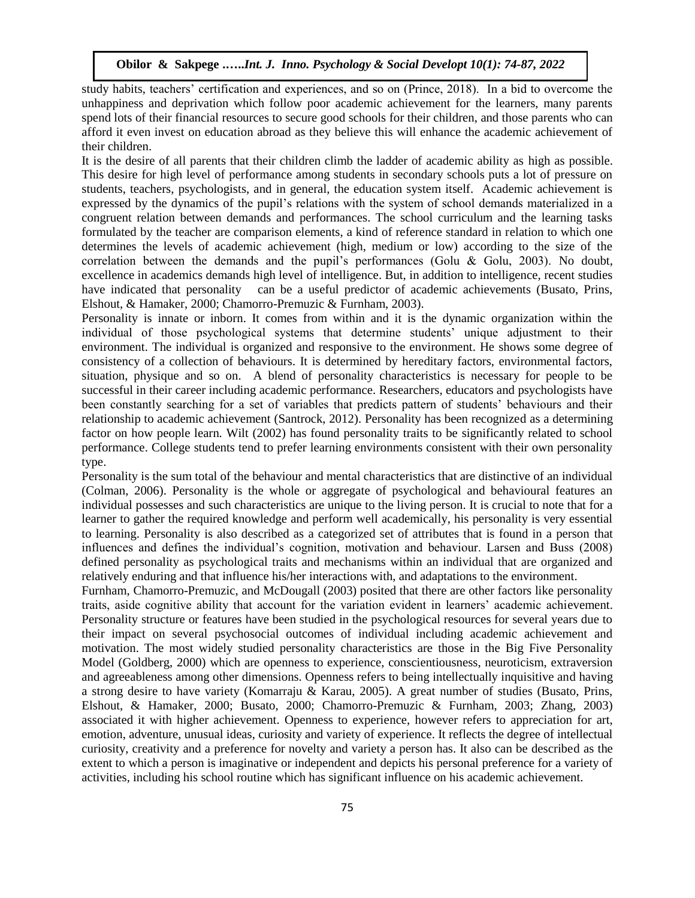study habits, teachers' certification and experiences, and so on (Prince, 2018). In a bid to overcome the unhappiness and deprivation which follow poor academic achievement for the learners, many parents spend lots of their financial resources to secure good schools for their children, and those parents who can afford it even invest on education abroad as they believe this will enhance the academic achievement of their children.

It is the desire of all parents that their children climb the ladder of academic ability as high as possible. This desire for high level of performance among students in secondary schools puts a lot of pressure on students, teachers, psychologists, and in general, the education system itself. Academic achievement is expressed by the dynamics of the pupil's relations with the system of school demands materialized in a congruent relation between demands and performances. The school curriculum and the learning tasks formulated by the teacher are comparison elements, a kind of reference standard in relation to which one determines the levels of academic achievement (high, medium or low) according to the size of the correlation between the demands and the pupil's performances (Golu & Golu, 2003). No doubt, excellence in academics demands high level of intelligence. But, in addition to intelligence, recent studies have indicated that personality can be a useful predictor of academic achievements (Busato, Prins, Elshout, & Hamaker, 2000; Chamorro-Premuzic & Furnham, 2003).

Personality is innate or inborn. It comes from within and it is the dynamic organization within the individual of those psychological systems that determine students' unique adjustment to their environment. The individual is organized and responsive to the environment. He shows some degree of consistency of a collection of behaviours. It is determined by hereditary factors, environmental factors, situation, physique and so on. A blend of personality characteristics is necessary for people to be successful in their career including academic performance. Researchers, educators and psychologists have been constantly searching for a set of variables that predicts pattern of students' behaviours and their relationship to academic achievement (Santrock, 2012). Personality has been recognized as a determining factor on how people learn. Wilt (2002) has found personality traits to be significantly related to school performance. College students tend to prefer learning environments consistent with their own personality type.

Personality is the sum total of the behaviour and mental characteristics that are distinctive of an individual (Colman, 2006). Personality is the whole or aggregate of psychological and behavioural features an individual possesses and such characteristics are unique to the living person. It is crucial to note that for a learner to gather the required knowledge and perform well academically, his personality is very essential to learning. Personality is also described as a categorized set of attributes that is found in a person that influences and defines the individual's cognition, motivation and behaviour. Larsen and Buss (2008) defined personality as psychological traits and mechanisms within an individual that are organized and relatively enduring and that influence his/her interactions with, and adaptations to the environment.

Furnham, Chamorro-Premuzic, and McDougall (2003) posited that there are other factors like personality traits, aside cognitive ability that account for the variation evident in learners' academic achievement. Personality structure or features have been studied in the psychological resources for several years due to their impact on several psychosocial outcomes of individual including academic achievement and motivation. The most widely studied personality characteristics are those in the Big Five Personality Model (Goldberg, 2000) which are openness to experience, conscientiousness, neuroticism, extraversion and agreeableness among other dimensions. Openness refers to being intellectually inquisitive and having a strong desire to have variety (Komarraju & Karau, 2005). A great number of studies (Busato, Prins, Elshout, & Hamaker, 2000; Busato, 2000; Chamorro-Premuzic & Furnham, 2003; Zhang, 2003) associated it with higher achievement. Openness to experience, however refers to appreciation for art, emotion, adventure, unusual ideas, curiosity and variety of experience. It reflects the degree of intellectual curiosity, creativity and a preference for novelty and variety a person has. It also can be described as the extent to which a person is imaginative or independent and depicts his personal preference for a variety of activities, including his school routine which has significant influence on his academic achievement.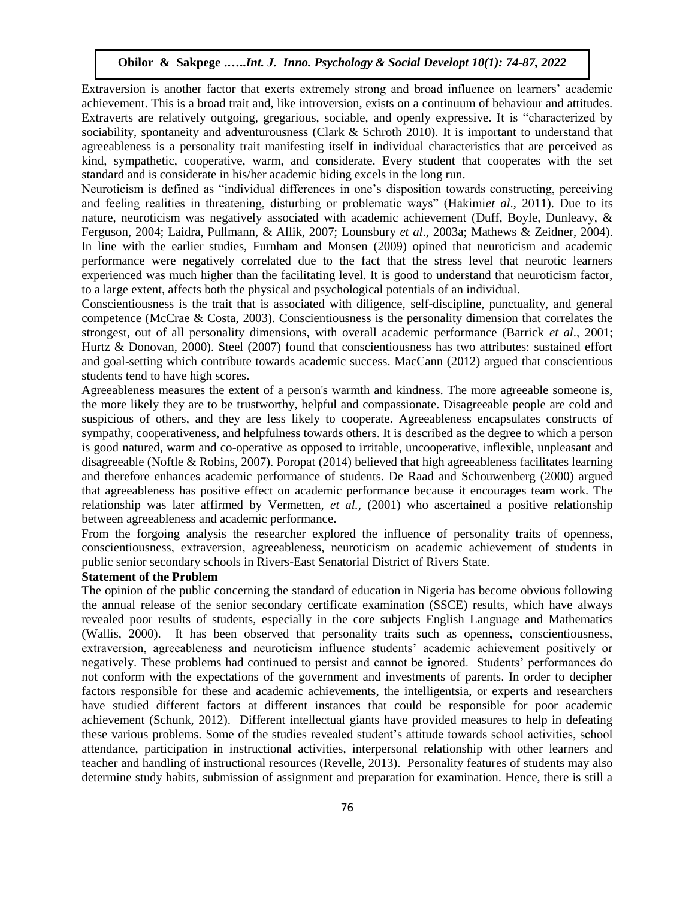Extraversion is another factor that exerts extremely strong and broad influence on learners' academic achievement. This is a broad trait and, like introversion, exists on a continuum of behaviour and attitudes. Extraverts are relatively outgoing, gregarious, sociable, and openly expressive. It is "characterized by sociability, spontaneity and adventurousness (Clark & Schroth 2010). It is important to understand that agreeableness is a personality trait manifesting itself in individual characteristics that are perceived as kind, sympathetic, cooperative, warm, and considerate. Every student that cooperates with the set standard and is considerate in his/her academic biding excels in the long run.

Neuroticism is defined as "individual differences in one's disposition towards constructing, perceiving and feeling realities in threatening, disturbing or problematic ways" (Hakimi*et al*., 2011). Due to its nature, neuroticism was negatively associated with academic achievement (Duff, Boyle, Dunleavy, & Ferguson, 2004; Laidra, Pullmann, & Allik, 2007; Lounsbury *et al*., 2003a; Mathews & Zeidner, 2004). In line with the earlier studies, Furnham and Monsen (2009) opined that neuroticism and academic performance were negatively correlated due to the fact that the stress level that neurotic learners experienced was much higher than the facilitating level. It is good to understand that neuroticism factor, to a large extent, affects both the physical and psychological potentials of an individual.

Conscientiousness is the trait that is associated with diligence, self-discipline, punctuality, and general competence (McCrae & Costa, 2003). Conscientiousness is the personality dimension that correlates the strongest, out of all personality dimensions, with overall academic performance (Barrick *et al*., 2001; Hurtz & Donovan, 2000). Steel (2007) found that conscientiousness has two attributes: sustained effort and goal-setting which contribute towards academic success. MacCann (2012) argued that conscientious students tend to have high scores.

Agreeableness measures the extent of a person's warmth and kindness. The more agreeable someone is, the more likely they are to be trustworthy, helpful and compassionate. Disagreeable people are cold and suspicious of others, and they are less likely to cooperate. Agreeableness encapsulates constructs of sympathy, cooperativeness, and helpfulness towards others. It is described as the degree to which a person is good natured, warm and co-operative as opposed to irritable, uncooperative, inflexible, unpleasant and disagreeable (Noftle & Robins, 2007). Poropat (2014) believed that high agreeableness facilitates learning and therefore enhances academic performance of students. De Raad and Schouwenberg (2000) argued that agreeableness has positive effect on academic performance because it encourages team work. The relationship was later affirmed by Vermetten, *et al.,* (2001) who ascertained a positive relationship between agreeableness and academic performance.

From the forgoing analysis the researcher explored the influence of personality traits of openness, conscientiousness, extraversion, agreeableness, neuroticism on academic achievement of students in public senior secondary schools in Rivers-East Senatorial District of Rivers State.

# **Statement of the Problem**

The opinion of the public concerning the standard of education in Nigeria has become obvious following the annual release of the senior secondary certificate examination (SSCE) results, which have always revealed poor results of students, especially in the core subjects English Language and Mathematics (Wallis, 2000). It has been observed that personality traits such as openness, conscientiousness, extraversion, agreeableness and neuroticism influence students' academic achievement positively or negatively. These problems had continued to persist and cannot be ignored. Students' performances do not conform with the expectations of the government and investments of parents. In order to decipher factors responsible for these and academic achievements, the intelligentsia, or experts and researchers have studied different factors at different instances that could be responsible for poor academic achievement (Schunk, 2012). Different intellectual giants have provided measures to help in defeating these various problems. Some of the studies revealed student's attitude towards school activities, school attendance, participation in instructional activities, interpersonal relationship with other learners and teacher and handling of instructional resources (Revelle, 2013). Personality features of students may also determine study habits, submission of assignment and preparation for examination. Hence, there is still a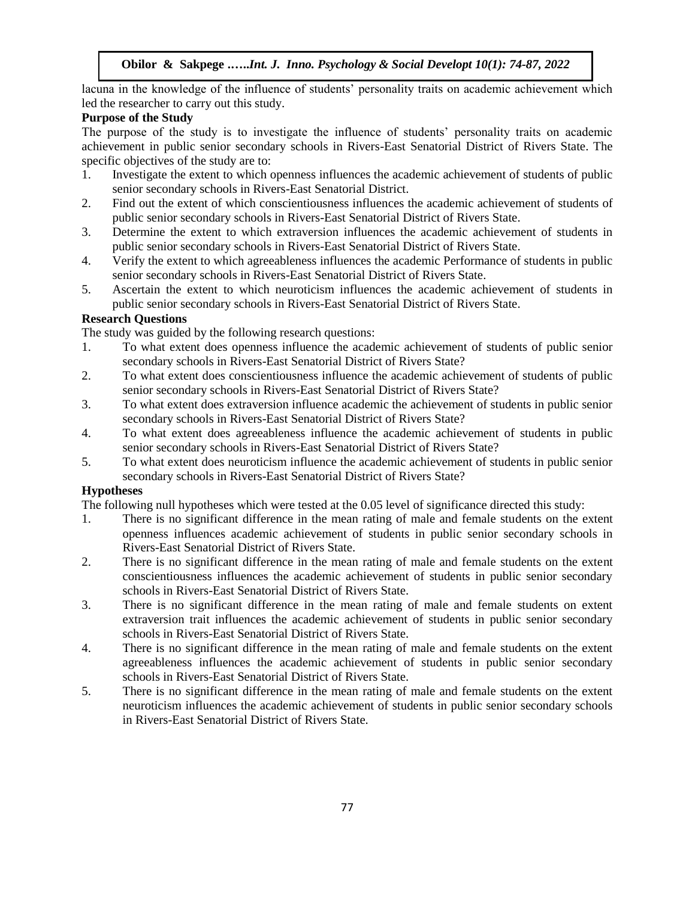lacuna in the knowledge of the influence of students' personality traits on academic achievement which led the researcher to carry out this study.

# **Purpose of the Study**

The purpose of the study is to investigate the influence of students' personality traits on academic achievement in public senior secondary schools in Rivers-East Senatorial District of Rivers State. The specific objectives of the study are to:

- 1. Investigate the extent to which openness influences the academic achievement of students of public senior secondary schools in Rivers-East Senatorial District.
- 2. Find out the extent of which conscientiousness influences the academic achievement of students of public senior secondary schools in Rivers-East Senatorial District of Rivers State.
- 3. Determine the extent to which extraversion influences the academic achievement of students in public senior secondary schools in Rivers-East Senatorial District of Rivers State.
- 4. Verify the extent to which agreeableness influences the academic Performance of students in public senior secondary schools in Rivers-East Senatorial District of Rivers State.
- 5. Ascertain the extent to which neuroticism influences the academic achievement of students in public senior secondary schools in Rivers-East Senatorial District of Rivers State.

# **Research Questions**

The study was guided by the following research questions:

- 1. To what extent does openness influence the academic achievement of students of public senior secondary schools in Rivers-East Senatorial District of Rivers State?
- 2. To what extent does conscientiousness influence the academic achievement of students of public senior secondary schools in Rivers-East Senatorial District of Rivers State?
- 3. To what extent does extraversion influence academic the achievement of students in public senior secondary schools in Rivers-East Senatorial District of Rivers State?
- 4. To what extent does agreeableness influence the academic achievement of students in public senior secondary schools in Rivers-East Senatorial District of Rivers State?
- 5. To what extent does neuroticism influence the academic achievement of students in public senior secondary schools in Rivers-East Senatorial District of Rivers State?

# **Hypotheses**

The following null hypotheses which were tested at the 0.05 level of significance directed this study:

- 1. There is no significant difference in the mean rating of male and female students on the extent openness influences academic achievement of students in public senior secondary schools in Rivers-East Senatorial District of Rivers State.
- 2. There is no significant difference in the mean rating of male and female students on the extent conscientiousness influences the academic achievement of students in public senior secondary schools in Rivers-East Senatorial District of Rivers State.
- 3. There is no significant difference in the mean rating of male and female students on extent extraversion trait influences the academic achievement of students in public senior secondary schools in Rivers-East Senatorial District of Rivers State.
- 4. There is no significant difference in the mean rating of male and female students on the extent agreeableness influences the academic achievement of students in public senior secondary schools in Rivers-East Senatorial District of Rivers State.
- 5. There is no significant difference in the mean rating of male and female students on the extent neuroticism influences the academic achievement of students in public senior secondary schools in Rivers-East Senatorial District of Rivers State.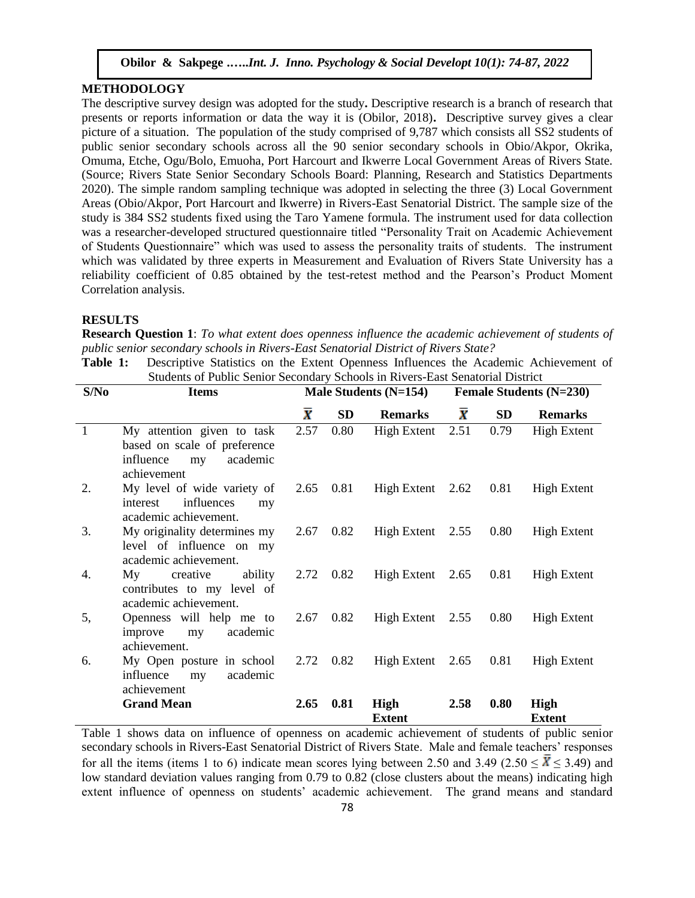# **METHODOLOGY**

The descriptive survey design was adopted for the study**.** Descriptive research is a branch of research that presents or reports information or data the way it is (Obilor, 2018)**.** Descriptive survey gives a clear picture of a situation. The population of the study comprised of 9,787 which consists all SS2 students of public senior secondary schools across all the 90 senior secondary schools in Obio/Akpor, Okrika, Omuma, Etche, Ogu/Bolo, Emuoha, Port Harcourt and Ikwerre Local Government Areas of Rivers State. (Source; Rivers State Senior Secondary Schools Board: Planning, Research and Statistics Departments 2020). The simple random sampling technique was adopted in selecting the three (3) Local Government Areas (Obio/Akpor, Port Harcourt and Ikwerre) in Rivers-East Senatorial District. The sample size of the study is 384 SS2 students fixed using the Taro Yamene formula. The instrument used for data collection was a researcher-developed structured questionnaire titled "Personality Trait on Academic Achievement of Students Questionnaire" which was used to assess the personality traits of students. The instrument which was validated by three experts in Measurement and Evaluation of Rivers State University has a reliability coefficient of 0.85 obtained by the test-retest method and the Pearson's Product Moment Correlation analysis.

#### **RESULTS**

**Research Question 1**: *To what extent does openness influence the academic achievement of students of public senior secondary schools in Rivers-East Senatorial District of Rivers State?*

**Table 1:** Descriptive Statistics on the Extent Openness Influences the Academic Achievement of Students of Public Senior Secondary Schools in Rivers-East Senatorial District

| S/No           | <b>Items</b>                                                                                             |                 |                   | Male Students (N=154) |                    |           | <b>Female Students (N=230)</b> |
|----------------|----------------------------------------------------------------------------------------------------------|-----------------|-------------------|-----------------------|--------------------|-----------|--------------------------------|
|                |                                                                                                          | $\bar{\pmb{X}}$ | <b>SD</b>         | <b>Remarks</b>        | $\bar{\textbf{x}}$ | <b>SD</b> | <b>Remarks</b>                 |
| $\overline{1}$ | My attention given to task<br>based on scale of preference<br>academic<br>influence<br>my<br>achievement | 2.57            | 0.80              | High Extent 2.51      |                    | 0.79      | <b>High Extent</b>             |
| 2.             | My level of wide variety of<br>influences<br>interest<br>my<br>academic achievement.                     |                 | $2.65$ 0.81       | High Extent 2.62      |                    | 0.81      | High Extent                    |
| 3.             | My originality determines my<br>level of influence on my<br>academic achievement.                        | 2.67            | 0.82              | High Extent $2.55$    |                    | 0.80      | High Extent                    |
| 4.             | My creative<br>ability<br>contributes to my level of<br>academic achievement.                            |                 | $2.72 \quad 0.82$ | High Extent $2.65$    |                    | 0.81      | High Extent                    |
| 5,             | Openness will help me to<br>academic<br>improve<br>my<br>achievement.                                    | 2.67            | 0.82              | High Extent $2.55$    |                    | 0.80      | <b>High Extent</b>             |
| 6.             | My Open posture in school<br>academic<br>influence<br>my<br>achievement                                  |                 | 2.72 0.82         | High Extent $2.65$    |                    | 0.81      | High Extent                    |
|                | <b>Grand Mean</b>                                                                                        | 2.65            | 0.81              | High<br><b>Extent</b> | 2.58               | 0.80      | High<br><b>Extent</b>          |

Table 1 shows data on influence of openness on academic achievement of students of public senior secondary schools in Rivers-East Senatorial District of Rivers State. Male and female teachers' responses for all the items (items 1 to 6) indicate mean scores lying between 2.50 and 3.49 (2.50  $\leq \overline{X} \leq 3.49$ ) and low standard deviation values ranging from 0.79 to 0.82 (close clusters about the means) indicating high extent influence of openness on students' academic achievement. The grand means and standard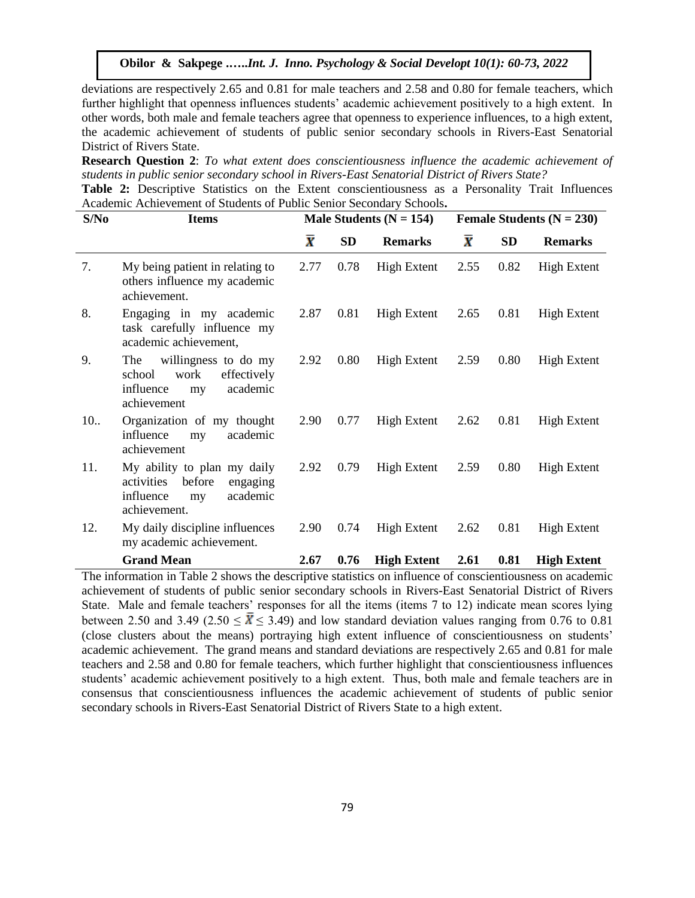deviations are respectively 2.65 and 0.81 for male teachers and 2.58 and 0.80 for female teachers, which further highlight that openness influences students' academic achievement positively to a high extent. In other words, both male and female teachers agree that openness to experience influences, to a high extent, the academic achievement of students of public senior secondary schools in Rivers-East Senatorial District of Rivers State.

**Research Question 2**: *To what extent does conscientiousness influence the academic achievement of students in public senior secondary school in Rivers-East Senatorial District of Rivers State?*

**Table 2:** Descriptive Statistics on the Extent conscientiousness as a Personality Trait Influences Academic Achievement of Students of Public Senior Secondary Schools**.**

| S/No | <b>Items</b>                                                                                                   |                 |           | Male Students ( $N = 154$ ) | Female Students $(N = 230)$ |           |                    |  |
|------|----------------------------------------------------------------------------------------------------------------|-----------------|-----------|-----------------------------|-----------------------------|-----------|--------------------|--|
|      |                                                                                                                | $\bar{\pmb{X}}$ | <b>SD</b> | <b>Remarks</b>              | $\bar{\textbf{x}}$          | <b>SD</b> | <b>Remarks</b>     |  |
| 7.   | My being patient in relating to<br>others influence my academic<br>achievement.                                | 2.77            | 0.78      | <b>High Extent</b>          | 2.55                        | 0.82      | <b>High Extent</b> |  |
| 8.   | Engaging in my academic<br>task carefully influence my<br>academic achievement,                                | 2.87            | 0.81      | <b>High Extent</b>          | 2.65                        | 0.81      | <b>High Extent</b> |  |
| 9.   | willingness to do my<br>The<br>effectively<br>work<br>school<br>academic<br>influence<br>my<br>achievement     | 2.92            | 0.80      | High Extent                 | 2.59                        | 0.80      | High Extent        |  |
| 10.  | Organization of my thought<br>academic<br>influence<br>my<br>achievement                                       | 2.90            | 0.77      | <b>High Extent</b>          | 2.62                        | 0.81      | High Extent        |  |
| 11.  | My ability to plan my daily<br>activities<br>before<br>engaging<br>influence<br>academic<br>my<br>achievement. | 2.92            | 0.79      | <b>High Extent</b>          | 2.59                        | 0.80      | High Extent        |  |
| 12.  | My daily discipline influences<br>my academic achievement.                                                     | 2.90            | 0.74      | High Extent                 | 2.62                        | 0.81      | <b>High Extent</b> |  |
|      | <b>Grand Mean</b>                                                                                              | 2.67            | 0.76      | <b>High Extent</b>          | 2.61                        | 0.81      | <b>High Extent</b> |  |

The information in Table 2 shows the descriptive statistics on influence of conscientiousness on academic achievement of students of public senior secondary schools in Rivers-East Senatorial District of Rivers State. Male and female teachers' responses for all the items (items 7 to 12) indicate mean scores lying between 2.50 and 3.49 (2.50  $\leq \overline{X} \leq 3.49$ ) and low standard deviation values ranging from 0.76 to 0.81 (close clusters about the means) portraying high extent influence of conscientiousness on students' academic achievement. The grand means and standard deviations are respectively 2.65 and 0.81 for male teachers and 2.58 and 0.80 for female teachers, which further highlight that conscientiousness influences students' academic achievement positively to a high extent. Thus, both male and female teachers are in consensus that conscientiousness influences the academic achievement of students of public senior secondary schools in Rivers-East Senatorial District of Rivers State to a high extent.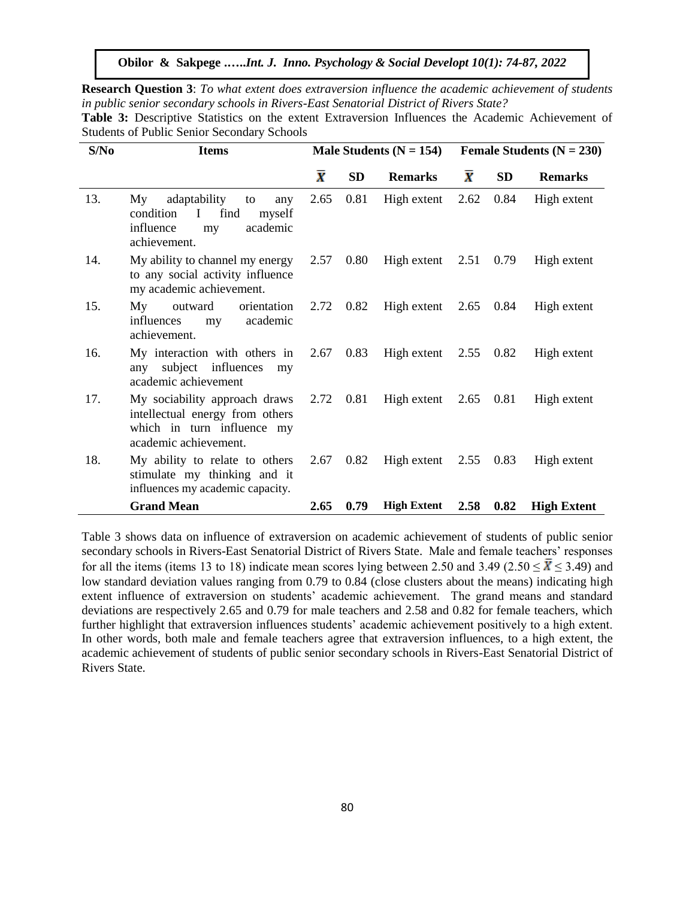**Research Question 3**: *To what extent does extraversion influence the academic achievement of students in public senior secondary schools in Rivers-East Senatorial District of Rivers State?* **Table 3:** Descriptive Statistics on the extent Extraversion Influences the Academic Achievement of

|                                                    |  |  |  | <b>Table 3:</b> Describuve Statistics on the extent extraversion influences the Academic Achievement of |  |
|----------------------------------------------------|--|--|--|---------------------------------------------------------------------------------------------------------|--|
| <b>Students of Public Senior Secondary Schools</b> |  |  |  |                                                                                                         |  |

| S/No | <b>Items</b>                                                                                                                 |                        |           | Male Students ( $N = 154$ )     | Female Students ( $N = 230$ ) |           |                    |  |
|------|------------------------------------------------------------------------------------------------------------------------------|------------------------|-----------|---------------------------------|-------------------------------|-----------|--------------------|--|
|      |                                                                                                                              | $\boldsymbol{\bar{X}}$ | <b>SD</b> | <b>Remarks</b>                  | $\bar{x}$                     | <b>SD</b> | <b>Remarks</b>     |  |
| 13.  | adaptability<br>My<br>to<br>any<br>$\mathbf I$<br>find<br>condition<br>myself<br>academic<br>influence<br>my<br>achievement. | 2.65                   | 0.81      | High extent                     | 2.62                          | 0.84      | High extent        |  |
| 14.  | My ability to channel my energy<br>to any social activity influence<br>my academic achievement.                              |                        |           | 2.57 0.80 High extent 2.51 0.79 |                               |           | High extent        |  |
| 15.  | My<br>outward<br>orientation<br>academic<br>influences<br>my<br>achievement.                                                 |                        |           | 2.72 0.82 High extent 2.65 0.84 |                               |           | High extent        |  |
| 16.  | My interaction with others in<br>subject influences<br>any<br>my<br>academic achievement                                     | 2.67                   | 0.83      | High extent $2.55$ 0.82         |                               |           | High extent        |  |
| 17.  | My sociability approach draws<br>intellectual energy from others<br>which in turn influence my<br>academic achievement.      |                        |           | 2.72 0.81 High extent 2.65 0.81 |                               |           | High extent        |  |
| 18.  | My ability to relate to others<br>stimulate my thinking and it<br>influences my academic capacity.                           |                        |           | 2.67 0.82 High extent 2.55      |                               | 0.83      | High extent        |  |
|      | <b>Grand Mean</b>                                                                                                            | 2.65                   | 0.79      | <b>High Extent</b>              | 2.58                          | 0.82      | <b>High Extent</b> |  |

Table 3 shows data on influence of extraversion on academic achievement of students of public senior secondary schools in Rivers-East Senatorial District of Rivers State. Male and female teachers' responses for all the items (items 13 to 18) indicate mean scores lying between 2.50 and 3.49 (2.50  $\leq X \leq 3.49$ ) and low standard deviation values ranging from 0.79 to 0.84 (close clusters about the means) indicating high extent influence of extraversion on students' academic achievement. The grand means and standard deviations are respectively 2.65 and 0.79 for male teachers and 2.58 and 0.82 for female teachers, which further highlight that extraversion influences students' academic achievement positively to a high extent. In other words, both male and female teachers agree that extraversion influences, to a high extent, the academic achievement of students of public senior secondary schools in Rivers-East Senatorial District of Rivers State.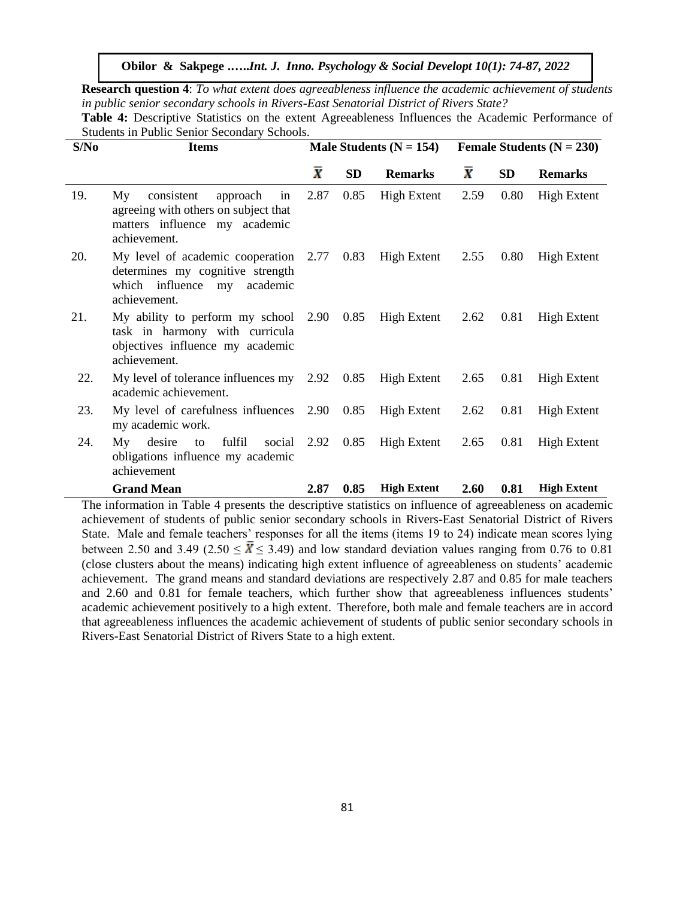**Research question 4**: *To what extent does agreeableness influence the academic achievement of students in public senior secondary schools in Rivers-East Senatorial District of Rivers State?*

| S/No | <b>Items</b>                                                                                                                    |                         |           | Male Students $(N = 154)$ | Female Students $(N = 230)$ |           |                    |  |
|------|---------------------------------------------------------------------------------------------------------------------------------|-------------------------|-----------|---------------------------|-----------------------------|-----------|--------------------|--|
|      |                                                                                                                                 | $\overline{\textbf{x}}$ | <b>SD</b> | <b>Remarks</b>            | $\bar{\textbf{x}}$          | <b>SD</b> | <b>Remarks</b>     |  |
| 19.  | consistent<br>approach in<br>My<br>agreeing with others on subject that<br>matters influence my academic<br>achievement.        | 2.87                    | 0.85      | <b>High Extent</b>        | 2.59                        | 0.80      | <b>High Extent</b> |  |
| 20.  | My level of academic cooperation 2.77 0.83<br>determines my cognitive strength<br>which influence my academic<br>achievement.   |                         |           | High Extent               | 2.55                        | 0.80      | High Extent        |  |
| 21.  | My ability to perform my school 2.90 0.85<br>task in harmony with curricula<br>objectives influence my academic<br>achievement. |                         |           | High Extent $2.62$        |                             | 0.81      | High Extent        |  |
| 22.  | My level of tolerance influences my $2.92 \quad 0.85$<br>academic achievement.                                                  |                         |           | High Extent               | 2.65                        | 0.81      | High Extent        |  |
| 23.  | My level of carefulness influences $2.90$ 0.85<br>my academic work.                                                             |                         |           | High Extent               | 2.62                        | 0.81      | <b>High Extent</b> |  |
| 24.  | fulfil social 2.92 0.85<br>My desire<br>$\mathbf{to}$<br>obligations influence my academic<br>achievement                       |                         |           | <b>High Extent</b>        | 2.65                        | 0.81      | <b>High Extent</b> |  |
|      | <b>Grand Mean</b>                                                                                                               | 2.87                    | 0.85      | <b>High Extent</b>        | 2.60                        | 0.81      | <b>High Extent</b> |  |

**Table 4:** Descriptive Statistics on the extent Agreeableness Influences the Academic Performance of Students in Public Senior Secondary Schools.

The information in Table 4 presents the descriptive statistics on influence of agreeableness on academic achievement of students of public senior secondary schools in Rivers-East Senatorial District of Rivers State. Male and female teachers' responses for all the items (items 19 to 24) indicate mean scores lying between 2.50 and 3.49 (2.50  $\leq \overline{X} \leq 3.49$ ) and low standard deviation values ranging from 0.76 to 0.81 (close clusters about the means) indicating high extent influence of agreeableness on students' academic achievement. The grand means and standard deviations are respectively 2.87 and 0.85 for male teachers and 2.60 and 0.81 for female teachers, which further show that agreeableness influences students' academic achievement positively to a high extent. Therefore, both male and female teachers are in accord that agreeableness influences the academic achievement of students of public senior secondary schools in Rivers-East Senatorial District of Rivers State to a high extent.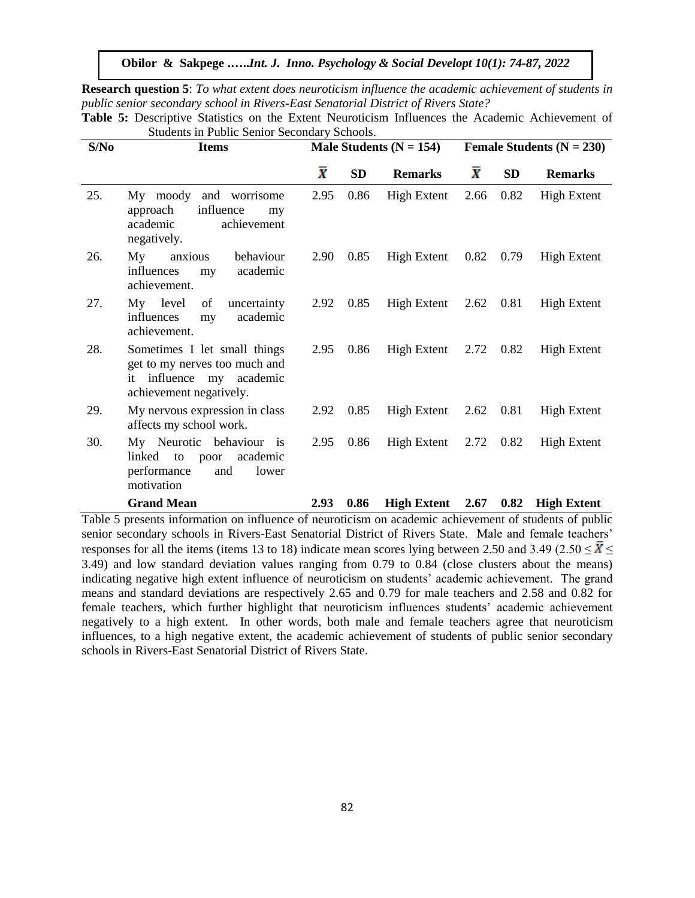**Research question 5**: *To what extent does neuroticism influence the academic achievement of students in public senior secondary school in Rivers-East Senatorial District of Rivers State?*

| S/No | <b>Items</b>                                                                                                         |                    |           | Male Students ( $N = 154$ ) | Female Students $(N = 230)$ |                   |                    |  |
|------|----------------------------------------------------------------------------------------------------------------------|--------------------|-----------|-----------------------------|-----------------------------|-------------------|--------------------|--|
|      |                                                                                                                      | $\bar{\textbf{x}}$ | <b>SD</b> | <b>Remarks</b>              | $\bar{\textbf{x}}$          | <b>SD</b>         | <b>Remarks</b>     |  |
| 25.  | My moody and worrisome<br>influence<br>approach<br>my<br>achievement<br>academic<br>negatively.                      | 2.95               | 0.86      | <b>High Extent</b>          | 2.66                        | 0.82              | <b>High Extent</b> |  |
| 26.  | My<br>anxious<br>behaviour<br>academic<br>influences<br>my<br>achievement.                                           | 2.90               | 0.85      | <b>High Extent</b>          | 0.82                        | 0.79              | <b>High Extent</b> |  |
| 27.  | My level<br>of<br>uncertainty<br>academic<br>influences<br>my<br>achievement.                                        | 2.92               | 0.85      | <b>High Extent</b>          | 2.62                        | 0.81              | High Extent        |  |
| 28.  | Sometimes I let small things<br>get to my nerves too much and<br>it influence my academic<br>achievement negatively. | 2.95               | 0.86      | High Extent $2.72$          |                             | 0.82              | <b>High Extent</b> |  |
| 29.  | My nervous expression in class<br>affects my school work.                                                            | 2.92               | 0.85      | High Extent                 |                             | $2.62 \quad 0.81$ | <b>High Extent</b> |  |
| 30.  | My Neurotic behaviour is<br>academic<br>linked<br>to<br>poor<br>performance<br>and<br>lower<br>motivation            | 2.95               | 0.86      | High Extent                 | 2.72                        | 0.82              | High Extent        |  |
|      | <b>Grand Mean</b>                                                                                                    | 2.93               | 0.86      | <b>High Extent</b>          | 2.67                        | 0.82              | <b>High Extent</b> |  |

**Table 5:** Descriptive Statistics on the Extent Neuroticism Influences the Academic Achievement of Students in Public Senior Secondary Schools.

Table 5 presents information on influence of neuroticism on academic achievement of students of public senior secondary schools in Rivers-East Senatorial District of Rivers State. Male and female teachers' responses for all the items (items 13 to 18) indicate mean scores lying between 2.50 and 3.49 (2.50  $\leq \overline{X} \leq$ 3.49) and low standard deviation values ranging from 0.79 to 0.84 (close clusters about the means) indicating negative high extent influence of neuroticism on students' academic achievement. The grand means and standard deviations are respectively 2.65 and 0.79 for male teachers and 2.58 and 0.82 for female teachers, which further highlight that neuroticism influences students' academic achievement negatively to a high extent. In other words, both male and female teachers agree that neuroticism influences, to a high negative extent, the academic achievement of students of public senior secondary schools in Rivers-East Senatorial District of Rivers State.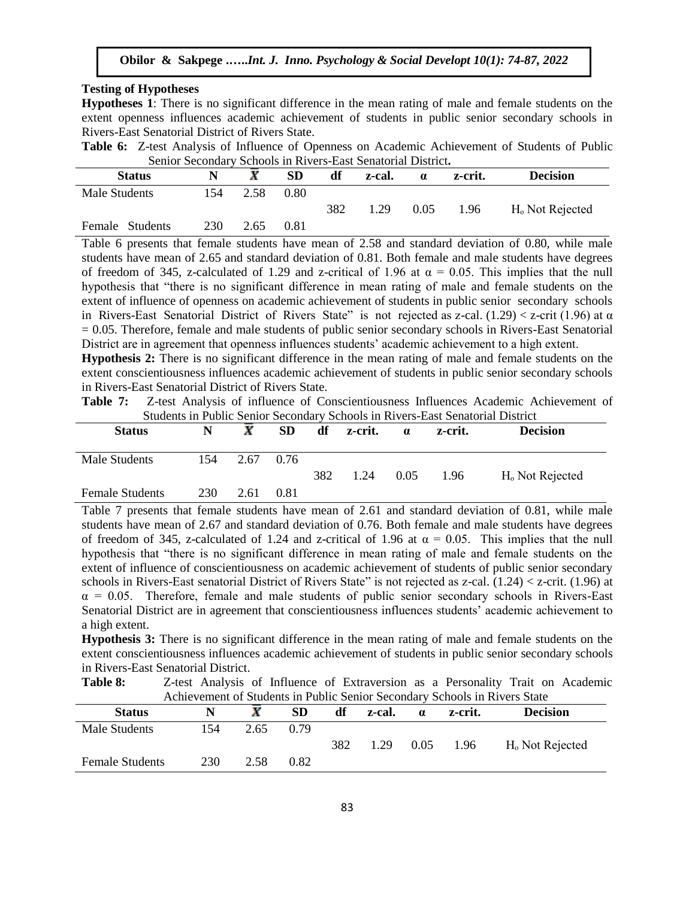#### **Testing of Hypotheses**

**Hypotheses 1**: There is no significant difference in the mean rating of male and female students on the extent openness influences academic achievement of students in public senior secondary schools in Rivers-East Senatorial District of Rivers State.

**Table 6:** Z-test Analysis of Influence of Openness on Academic Achievement of Students of Public Senior Secondary Schools in Rivers-East Senatorial District**.**

| <b>Status</b>   |     |      | SD             | df  | z-cal. | $\alpha$ | z-crit. | <b>Decision</b>             |
|-----------------|-----|------|----------------|-----|--------|----------|---------|-----------------------------|
| Male Students   | 154 | 2.58 | $0.80^{\circ}$ |     |        |          |         |                             |
|                 |     |      |                | 382 | 1.29   | 0.05     | 1.96    | H <sub>o</sub> Not Rejected |
| Female Students | 230 | 2.65 | 0.81           |     |        |          |         |                             |

Table 6 presents that female students have mean of 2.58 and standard deviation of 0.80, while male students have mean of 2.65 and standard deviation of 0.81. Both female and male students have degrees of freedom of 345, z-calculated of 1.29 and z-critical of 1.96 at  $\alpha = 0.05$ . This implies that the null hypothesis that "there is no significant difference in mean rating of male and female students on the extent of influence of openness on academic achievement of students in public senior secondary schools in Rivers-East Senatorial District of Rivers State" is not rejected as z-cal.  $(1.29) < z$ -crit  $(1.96)$  at  $\alpha$  $= 0.05$ . Therefore, female and male students of public senior secondary schools in Rivers-East Senatorial District are in agreement that openness influences students' academic achievement to a high extent.

**Hypothesis 2:** There is no significant difference in the mean rating of male and female students on the extent conscientiousness influences academic achievement of students in public senior secondary schools in Rivers-East Senatorial District of Rivers State.

**Table 7:** Z-test Analysis of influence of Conscientiousness Influences Academic Achievement of Students in Public Senior Secondary Schools in Rivers-East Senatorial District

| <b>Status</b>          | N   | X    | <b>SD</b> | df  | z-crit. | $\alpha$ | z-crit. | <b>Decision</b>             |
|------------------------|-----|------|-----------|-----|---------|----------|---------|-----------------------------|
| Male Students          | 154 | 2.67 | 0.76      | 382 | 1.24    | 0.05     | 1.96    | H <sub>o</sub> Not Rejected |
| <b>Female Students</b> | 230 | 2.61 | 0.81      |     |         |          |         |                             |

Table 7 presents that female students have mean of 2.61 and standard deviation of 0.81, while male students have mean of 2.67 and standard deviation of 0.76. Both female and male students have degrees of freedom of 345, z-calculated of 1.24 and z-critical of 1.96 at  $\alpha = 0.05$ . This implies that the null hypothesis that "there is no significant difference in mean rating of male and female students on the extent of influence of conscientiousness on academic achievement of students of public senior secondary schools in Rivers-East senatorial District of Rivers State" is not rejected as z-cal. (1.24) < z-crit. (1.96) at  $\alpha$  = 0.05. Therefore, female and male students of public senior secondary schools in Rivers-East Senatorial District are in agreement that conscientiousness influences students' academic achievement to a high extent.

**Hypothesis 3:** There is no significant difference in the mean rating of male and female students on the extent conscientiousness influences academic achievement of students in public senior secondary schools in Rivers-East Senatorial District.

**Table 8:** Z-test Analysis of Influence of Extraversion as a Personality Trait on Academic Achievement of Students in Public Senior Secondary Schools in Rivers State

| <b>Status</b>          |     |      | SD   | df  | z-cal. | $\alpha$ | z-crit. | <b>Decision</b>             |
|------------------------|-----|------|------|-----|--------|----------|---------|-----------------------------|
| Male Students          | 154 | 2.65 | 0.79 |     |        |          |         |                             |
|                        |     |      |      | 382 | 1.29   | 0.05     | 1.96    | H <sub>o</sub> Not Rejected |
| <b>Female Students</b> | 230 | 2.58 | 0.82 |     |        |          |         |                             |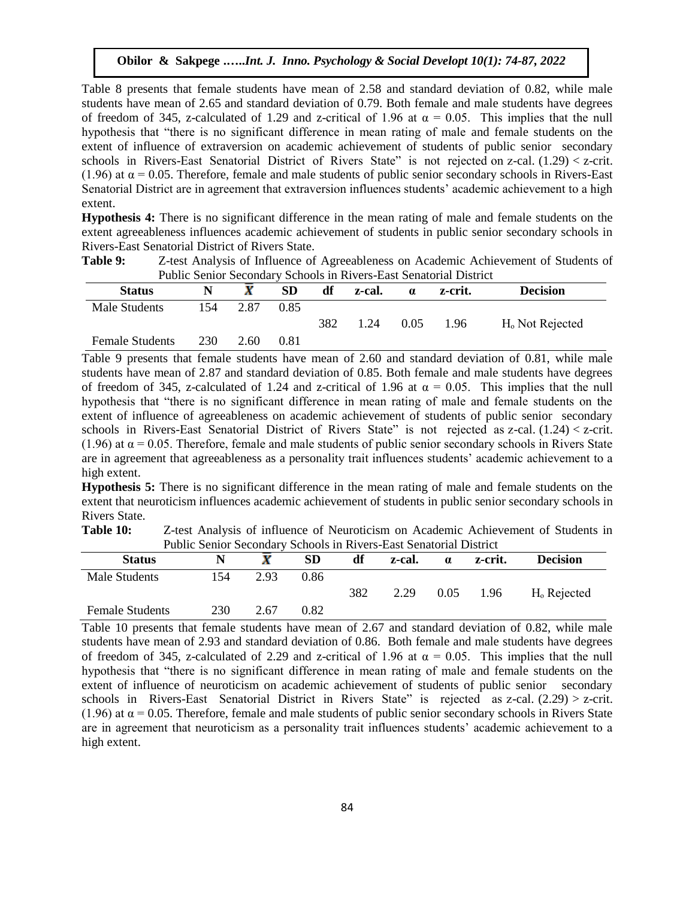Table 8 presents that female students have mean of 2.58 and standard deviation of 0.82, while male students have mean of 2.65 and standard deviation of 0.79. Both female and male students have degrees of freedom of 345, z-calculated of 1.29 and z-critical of 1.96 at  $\alpha = 0.05$ . This implies that the null hypothesis that "there is no significant difference in mean rating of male and female students on the extent of influence of extraversion on academic achievement of students of public senior secondary schools in Rivers-East Senatorial District of Rivers State" is not rejected on z-cal. (1.29) < z-crit. (1.96) at  $\alpha$  = 0.05. Therefore, female and male students of public senior secondary schools in Rivers-East Senatorial District are in agreement that extraversion influences students' academic achievement to a high extent.

**Hypothesis 4:** There is no significant difference in the mean rating of male and female students on the extent agreeableness influences academic achievement of students in public senior secondary schools in Rivers-East Senatorial District of Rivers State.

| Table 9: | Z-test Analysis of Influence of Agreeableness on Academic Achievement of Students of |
|----------|--------------------------------------------------------------------------------------|
|          | <b>Public Senior Secondary Schools in Rivers-East Senatorial District</b>            |

| <b>Status</b>          |     |      | ${\bf SD}$ | df  | z-cal. | $\alpha$ | z-crit. | <b>Decision</b>             |
|------------------------|-----|------|------------|-----|--------|----------|---------|-----------------------------|
| Male Students          | 154 | 2.87 | 0.85       |     |        |          |         |                             |
|                        |     |      |            | 382 | 1.24   | 0.05     | 1.96    | H <sub>o</sub> Not Rejected |
| <b>Female Students</b> | 230 | 2.60 | 0.81       |     |        |          |         |                             |

Table 9 presents that female students have mean of 2.60 and standard deviation of 0.81, while male students have mean of 2.87 and standard deviation of 0.85. Both female and male students have degrees of freedom of 345, z-calculated of 1.24 and z-critical of 1.96 at  $\alpha = 0.05$ . This implies that the null hypothesis that "there is no significant difference in mean rating of male and female students on the extent of influence of agreeableness on academic achievement of students of public senior secondary schools in Rivers-East Senatorial District of Rivers State" is not rejected as z-cal. (1.24) < z-crit. (1.96) at  $\alpha$  = 0.05. Therefore, female and male students of public senior secondary schools in Rivers State are in agreement that agreeableness as a personality trait influences students' academic achievement to a high extent.

**Hypothesis 5:** There is no significant difference in the mean rating of male and female students on the extent that neuroticism influences academic achievement of students in public senior secondary schools in Rivers State.

**Table 10:** Z-test Analysis of influence of Neuroticism on Academic Achievement of Students in Public Senior Secondary Schools in Rivers-East Senatorial District

| <b>Status</b>          |     |      | SD   | df  | z-cal. | $\alpha$ | z-crit. | <b>Decision</b> |
|------------------------|-----|------|------|-----|--------|----------|---------|-----------------|
| Male Students          | 54ء | 2.93 | 0.86 |     |        |          |         |                 |
|                        |     |      |      | 382 | 2.29   | 0.05     | 1.96    | $Ho$ Rejected   |
| <b>Female Students</b> | 230 | 2.67 | 0.82 |     |        |          |         |                 |

Table 10 presents that female students have mean of 2.67 and standard deviation of 0.82, while male students have mean of 2.93 and standard deviation of 0.86. Both female and male students have degrees of freedom of 345, z-calculated of 2.29 and z-critical of 1.96 at  $\alpha = 0.05$ . This implies that the null hypothesis that "there is no significant difference in mean rating of male and female students on the extent of influence of neuroticism on academic achievement of students of public senior secondary schools in Rivers-East Senatorial District in Rivers State" is rejected as z-cal. (2.29) > z-crit. (1.96) at  $\alpha$  = 0.05. Therefore, female and male students of public senior secondary schools in Rivers State are in agreement that neuroticism as a personality trait influences students' academic achievement to a high extent.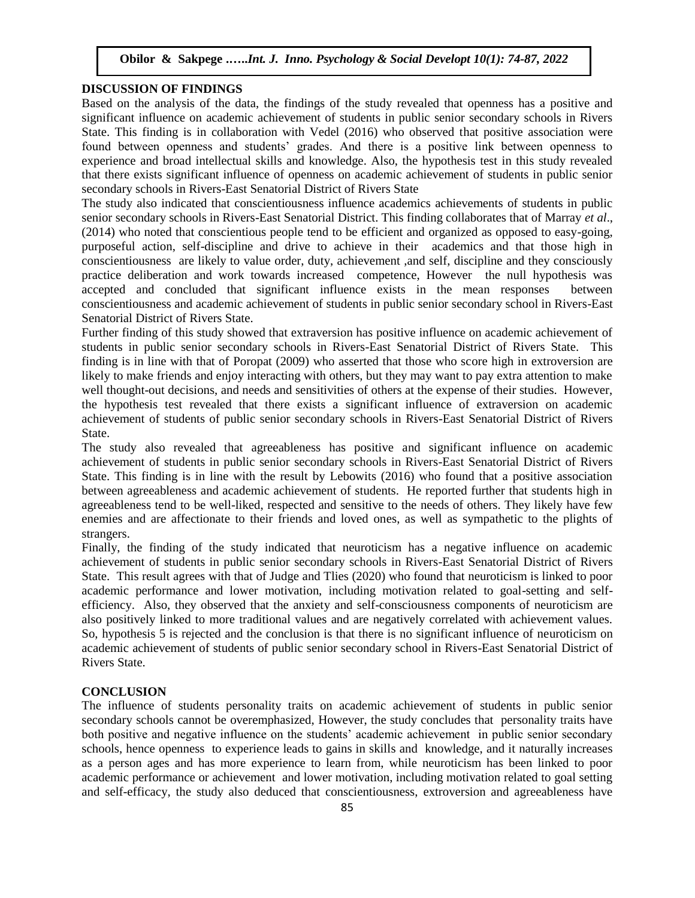## **DISCUSSION OF FINDINGS**

Based on the analysis of the data, the findings of the study revealed that openness has a positive and significant influence on academic achievement of students in public senior secondary schools in Rivers State. This finding is in collaboration with Vedel (2016) who observed that positive association were found between openness and students' grades. And there is a positive link between openness to experience and broad intellectual skills and knowledge. Also, the hypothesis test in this study revealed that there exists significant influence of openness on academic achievement of students in public senior secondary schools in Rivers-East Senatorial District of Rivers State

The study also indicated that conscientiousness influence academics achievements of students in public senior secondary schools in Rivers-East Senatorial District. This finding collaborates that of Marray *et al*., (2014) who noted that conscientious people tend to be efficient and organized as opposed to easy-going, purposeful action, self-discipline and drive to achieve in their academics and that those high in conscientiousness are likely to value order, duty, achievement ,and self, discipline and they consciously practice deliberation and work towards increased competence, However the null hypothesis was accepted and concluded that significant influence exists in the mean responses between conscientiousness and academic achievement of students in public senior secondary school in Rivers-East Senatorial District of Rivers State.

Further finding of this study showed that extraversion has positive influence on academic achievement of students in public senior secondary schools in Rivers-East Senatorial District of Rivers State. This finding is in line with that of Poropat (2009) who asserted that those who score high in extroversion are likely to make friends and enjoy interacting with others, but they may want to pay extra attention to make well thought-out decisions, and needs and sensitivities of others at the expense of their studies. However, the hypothesis test revealed that there exists a significant influence of extraversion on academic achievement of students of public senior secondary schools in Rivers-East Senatorial District of Rivers State.

The study also revealed that agreeableness has positive and significant influence on academic achievement of students in public senior secondary schools in Rivers-East Senatorial District of Rivers State. This finding is in line with the result by Lebowits (2016) who found that a positive association between agreeableness and academic achievement of students. He reported further that students high in agreeableness tend to be well-liked, respected and sensitive to the needs of others. They likely have few enemies and are affectionate to their friends and loved ones, as well as sympathetic to the plights of strangers.

Finally, the finding of the study indicated that neuroticism has a negative influence on academic achievement of students in public senior secondary schools in Rivers-East Senatorial District of Rivers State. This result agrees with that of Judge and Tlies (2020) who found that neuroticism is linked to poor academic performance and lower motivation, including motivation related to goal-setting and selfefficiency. Also, they observed that the anxiety and self-consciousness components of neuroticism are also positively linked to more traditional values and are negatively correlated with achievement values. So, hypothesis 5 is rejected and the conclusion is that there is no significant influence of neuroticism on academic achievement of students of public senior secondary school in Rivers-East Senatorial District of Rivers State.

# **CONCLUSION**

The influence of students personality traits on academic achievement of students in public senior secondary schools cannot be overemphasized, However, the study concludes that personality traits have both positive and negative influence on the students' academic achievement in public senior secondary schools, hence openness to experience leads to gains in skills and knowledge, and it naturally increases as a person ages and has more experience to learn from, while neuroticism has been linked to poor academic performance or achievement and lower motivation, including motivation related to goal setting and self-efficacy, the study also deduced that conscientiousness, extroversion and agreeableness have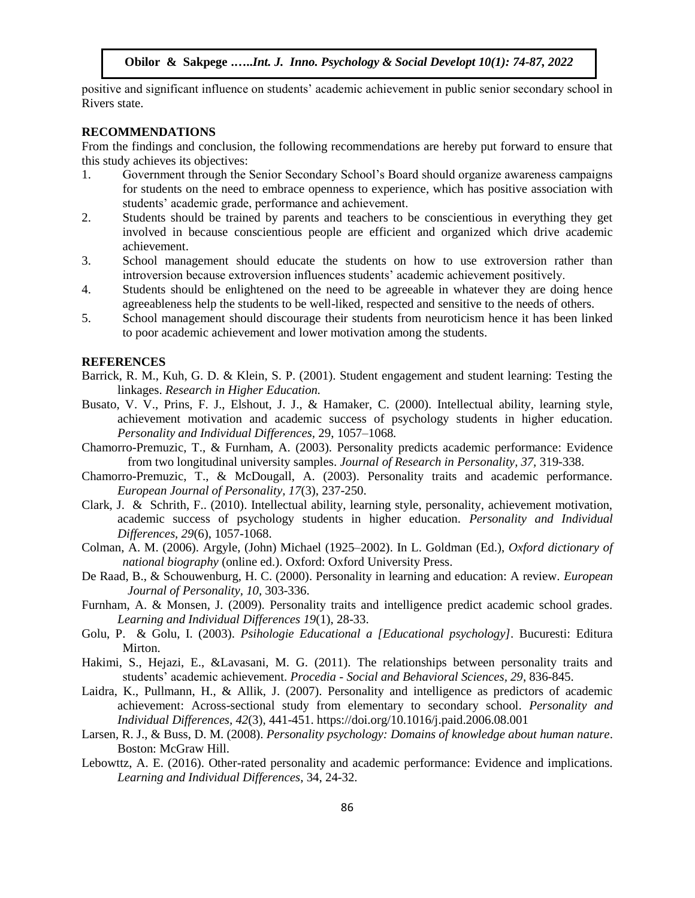positive and significant influence on students' academic achievement in public senior secondary school in Rivers state.

## **RECOMMENDATIONS**

From the findings and conclusion, the following recommendations are hereby put forward to ensure that this study achieves its objectives:

- 1. Government through the Senior Secondary School's Board should organize awareness campaigns for students on the need to embrace openness to experience, which has positive association with students' academic grade, performance and achievement.
- 2. Students should be trained by parents and teachers to be conscientious in everything they get involved in because conscientious people are efficient and organized which drive academic achievement.
- 3. School management should educate the students on how to use extroversion rather than introversion because extroversion influences students' academic achievement positively.
- 4. Students should be enlightened on the need to be agreeable in whatever they are doing hence agreeableness help the students to be well-liked, respected and sensitive to the needs of others.
- 5. School management should discourage their students from neuroticism hence it has been linked to poor academic achievement and lower motivation among the students.

#### **REFERENCES**

- Barrick, R. M., Kuh, G. D. & Klein, S. P. (2001). Student engagement and student learning: Testing the linkages. *Research in Higher Education.*
- Busato, V. V., Prins, F. J., Elshout, J. J., & Hamaker, C. (2000). Intellectual ability, learning style, achievement motivation and academic success of psychology students in higher education. *Personality and Individual Differences,* 29, 1057–1068.
- Chamorro-Premuzic, T., & Furnham, A. (2003). Personality predicts academic performance: Evidence from two longitudinal university samples. *Journal of Research in Personality, 37,* 319-338.
- Chamorro-Premuzic, T., & McDougall, A. (2003). Personality traits and academic performance. *European Journal of Personality, 17*(3), 237-250.
- Clark, J. & Schrith, F.. (2010). Intellectual ability, learning style, personality, achievement motivation, academic success of psychology students in higher education. *Personality and Individual Differences, 29*(6), 1057-1068.
- Colman, A. M. (2006). [Argyle, \(John\) Michael \(1925–2002\).](https://www2.le.ac.uk/departments/npb/people/amc/articles-pdfs/argyjohn.pdf) In L. Goldman (Ed.), *Oxford dictionary of national biography* (online ed.). Oxford: Oxford University Press.
- De Raad, B., & Schouwenburg, H. C. (2000). Personality in learning and education: A review. *European Journal of Personality, 10*, 303-336.
- Furnham, A. & Monsen, J. (2009). Personality traits and intelligence predict academic school grades. *Learning and Individual Differences 19*(1), 28-33.
- Golu, P. & Golu, I. (2003). *Psihologie Educational a [Educational psychology]*. Bucuresti: Editura Mirton.
- Hakimi, S., Hejazi, E., &Lavasani, M. G. (2011). The relationships between personality traits and students' academic achievement. *Procedia - Social and Behavioral Sciences, 29*, 836-845.
- Laidra, K., Pullmann, H., & Allik, J. (2007). Personality and intelligence as predictors of academic achievement: Across-sectional study from elementary to secondary school. *Personality and Individual Differences, 42*(3), 441-451. https://doi.org/10.1016/j.paid.2006.08.001
- Larsen, R. J., & Buss, D. M. (2008). *Personality psychology: Domains of knowledge about human nature*. Boston: McGraw Hill.
- Lebowttz, A. E. (2016). Other-rated personality and academic performance: Evidence and implications. *Learning and Individual Differences*, 34, 24-32.